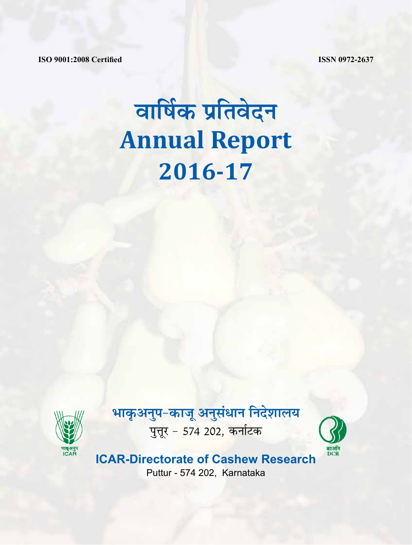**ISSN 0972-2637** 

**ISO 9001:2008 Certified** 

# वार्षिक प्रतिवेदन **Annual Report** 2016-17



भाकृअनुप-काजू अनुसंधान निदेशालय पुत्तूर - 574 202, कर्नाटक



**ICAR-Directorate of Cashew Research** 

Puttur - 574 202, Karnataka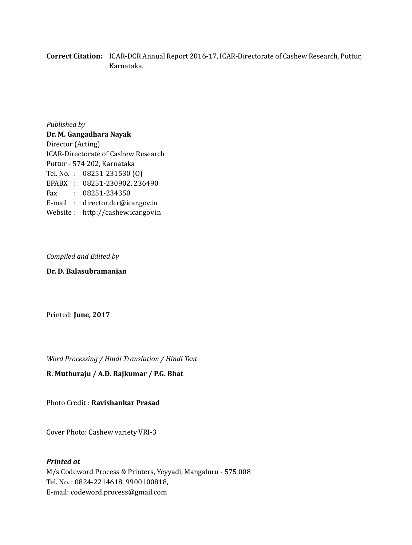### **Correct Citation:** ICAR-DCR Annual Report 2016-17, ICAR-Directorate of Cashew Research, Puttur, Karnataka.

*Published by* **Dr. M. Gangadhara Nayak** Director (Acting) ICAR-Directorate of Cashew Research Puttur - 574 202, Karnataka Tel. No. : 08251-231530 (O) EPABX : 08251-230902, 236490 Fax : 08251-234350 E-mail : director.dcr@icar.gov.in Website : http://cashew.icar.gov.in

*Compiled and Edited by*

**Dr. D. Balasubramanian**

Printed: **June, 2017**

*Word Processing / Hindi Translation / Hindi Text*

**R. Muthuraju / A.D. Rajkumar / P.G. Bhat**

Photo Credit : **Ravishankar Prasad**

Cover Photo: Cashew variety VRI-3

#### *Printed at*

M/s Codeword Process & Printers, Yeyyadi, Mangaluru - 575 008 Tel. No. : 0824-2214618, 9900100818, E-mail: codeword.process@gmail.com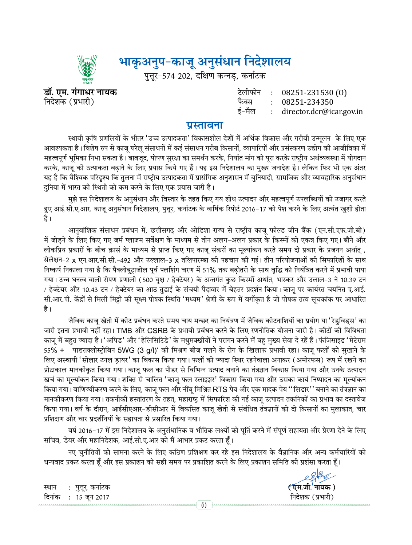## भाकृअनुप-काजू अनुसंधान निदेशालय

पुत्तूर-574 202, दक्षिण कन्नड, कर्नाटक

डॉ. एम. गंगाधर नायक निदेशक (प्रभारी)

टेलीफोन 08251-231530 (0) फैक्स 08251-234350 ई–मैल director.dcr@icar.gov.in

## प्रस्तावना

स्थायी कृषि प्रणलियों के भीतर 'उच्च उत्पादकता' विकासशील देशों में अर्थिक विकास और गरीबी उन्मूलन के लिए एक आवश्यकता है। विशेष रुप से काजू घरेलू संसाधनों में कई संसाधन गरीब किसानों, व्यापारियों और प्रसंस्करण उद्योग की आजीविका में महत्वपूर्ण भूमिका निभा सकता है। बावजुद, पोषण सुरक्षा का समर्थन करके, निर्यात मांग को पूरा करके राष्ट्रीय अर्थव्यवस्था में योगदान करके, काजू की उत्पाकता बढ़ाने के लिए प्रयास किये गए हैं। यह इस निदेशालय का मुख्य जनादेश है। लेकिन फिर भी एक अंतर यह है कि वैश्विक परिदृश्य कि तुलना में राष्ट्रीय उत्पादकता में प्रासंगिक अनुशासन में बुनियादी, सामजिक और व्यावहारिक अनुसंधान दुनिया में भारत की स्थिती को कम करने के लिए एक प्रयास जारी है।

मुझे इस निदेशालय के अनुसंधान और विस्तार के तहत किए गय शोध उत्पादन और महत्वपूर्ण उपलब्धियों को उजागर करते हुए आई.सी.ए.आर. काजू अनुसंधान निदेशालय, पुत्तूर, कर्नाटक के वार्षिक रिपोर्ट 2016–17 को पेश करने के लिए अत्यंत खुशी होता है।

आनुवांशिक संसाधन प्रबंधन में, छत्तीसगढ़ और ओडिशा राज्य से राष्ट्रीय काजू फील्ड जीन बैंक (एन.सी.एफ.जी.बी) में जोडने के लिए किए गए जर्म प्लाजम सर्वेक्षण के माध्यम से तीन अलग-अलग प्रकार के किस्मों को एकत्र किए गए। बौने और लोकप्रिय प्रकारों के बीच क्रासं के माध्यम से प्राप्त किए गए काजू संकरों का मूल्यांकन करते समय दो प्रकार के प्रजनन अर्थात् , सेलेक्षन-2 x एन.आर.सी.सी.-492 और उल्लाल-3 x तलिपारम्बा की पहचान की गई। तीन परियोजनाओं की सिफारिशों के साथ निष्कर्ष निकाला गया है कि पैक्लोबटाजोल पूर्व फ्लशिंग चरण में 51% तक बढोतरी के साथ वृद्धि को नियंत्रित करने में प्रभावी पाया गया। उच्च घनत्व वाली रोपण प्रणाली (500 वृक्ष / हेक्टेयर) के अन्तर्गत कुछ किस्मों अर्थात, भास्कर और उलाल-3 ने 10.39 टन / हेक्टेयर और 10.43 टन / हेक्टेयर का आठ तुडाई के संचयी पैदावार में बेहतर प्रदर्शन किया। काजू पर कार्यरत चयनित ए.आई. सी.आर.पी. केंद्रों से मिली मिट्टी की सुक्ष्म पोषक स्थिति 'मध्यम' श्रेणी के रूप में वर्गीकृत है जो पोषक तत्व सुचकांक पर आधारित है।

जैविक काजू खेती में कीट प्रबंधन करते समय चाय मच्छर का नियंत्रण में जैविक कीटनाशियों का प्रयोग या 'रेडुविड्स' का जारी इतना प्रभावी नहीं रहा। TMB और CSRB के प्रभावी प्रबंधन करने के लिए रणनीतिक योजना जारी है। कीटों की विविधता काजू में बहुत ज्यादा है।'अपिड' और 'हेलिसिटिडे' के मधुमक्खीयों ने परागन करने में बहु मुख्य सेवा दे रहें हैं। फंजिसाइड 'मेटेराम 55% + पाडराक्लोस्ट्रोबिन 5WG (3 q/l)' की मिश्रण बीज गलने के रोग के खिलाफ प्रभावी रहा। काजु फलों को सुखाने के लिए अस्थायी 'सोलार टनल ड्रायर' का विकास किया गया। फलों को ज्यादा स्थिर रहनेवाला अनाकर (अमोरफस) रूप में रखने का प्रोटाकाल मानकीकृत किया गया। काजू फल का पौडर से विभिन्न उत्पाद बनाने का तंत्रज्ञान विकास किया गया और उनके उत्पादन खर्च का मूल्यांकन किया गया। शक्ति से चालित 'काजू फल स्लाइझर' विकास किया गया और उसका कार्य निष्पादन का मूल्यांकन किया गया। वाणिज्यीकरण करने के लिए, काजू फल और नींबू मिश्रित RTS पेय और एक मादक पेय ''सिडार'' बनाने का तंत्रज्ञान का मानकीकरण किया गया। तकनीकी हस्तांतरण के तहत, महाराष्ट्र में सिफारिश की गई काज उत्पादन तकनिकों का प्रभाव का दस्तावेज किया गया। वर्ष के दौरान, आईसीएआर-डीसीआर में विकसित काजू खेती से संबंधित तंत्रज्ञानों को दो किसानों का मुलाकात, चार प्रशिक्षण और चार प्रदर्शनियों के सहायता से प्रसारित किया गया।

वर्ष 2016–17 में इस निदेशालय के अनुसंधानिक व भौतिक लक्ष्यों को पूर्ति करने में संपूर्ण सहायता और प्रेरणा देने के लिए सचिव, डेयर और महानिदेशक, आई.सी.ए.आर को मैं आभार प्रकट करता हूँ।

नए चुनौतियों को सामना करने के लिए कठिण प्रशिक्षण कर रहे इस निदेशालय के वैज्ञानिक और अन्य कर्मचारियों को धन्यवाद प्रकट करता हँ और इस प्रकाशन को सही समय पर प्रकाशित करने के लिए प्रकाशन समिति की प्रशंसा करता हँ।

( एम.जी. नायक ) निदेशक (प्रभारी)

स्थान : पुत्तूर, कर्नाटक दिनांक : 15 जून 2017

 $(i)$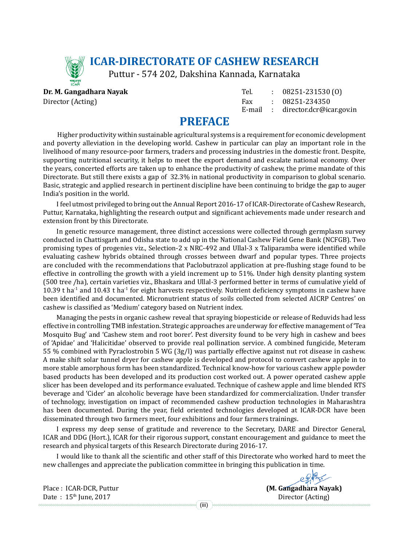## **ICAR-DIRECTORATE OF CASHEW RESEARCH**

Puttur - 574 202, Dakshina Kannada, Karnataka

**Dr. M. Gangadhara Nayak** Director (Acting)

| Dr. M. Gangadhara Nayak | Tel. | $\therefore$ 08251-231530 (0)                           |
|-------------------------|------|---------------------------------------------------------|
| Director (Acting)       | Fax  | $: 08251 - 234350$<br>E-mail : director.dcr@icar.gov.in |
|                         |      |                                                         |

## **PREFACE**

Higher productivity within sustainable agricultural systems is a requirement for economic development and poverty alleviation in the developing world. Cashew in particular can play an important role in the livelihood of many resource-poor farmers, traders and processing industries in the domestic front. Despite, supporting nutritional security, it helps to meet the export demand and escalate national economy. Over the years, concerted efforts are taken up to enhance the productivity of cashew, the prime mandate of this Directorate. But still there exists a gap of 32.3% in national productivity in comparison to global scenario. Basic, strategic and applied research in pertinent discipline have been continuing to bridge the gap to auger India's position in the world.

I feel utmost privileged to bring out the Annual Report 2016-17 of ICAR-Directorate of Cashew Research, Puttur, Karnataka, highlighting the research output and significant achievements made under research and extension front by this Directorate.

In genetic resource management, three distinct accessions were collected through germplasm survey conducted in Chattisgarh and Odisha state to add up in the National Cashew Field Gene Bank (NCFGB). Two promising types of progenies viz., Selection-2 x NRC-492 and Ullal-3 x Taliparamba were identified while evaluating cashew hybrids obtained through crosses between dwarf and popular types. Three projects are concluded with the recommendations that Paclobutrazol application at pre-flushing stage found to be effective in controlling the growth with a yield increment up to 51%. Under high density planting system (500 tree /ha), certain varieties viz., Bhaskara and Ullal-3 performed better in terms of cumulative yield of 10.39 t ha<sup>-1</sup> and 10.43 t ha<sup>-1</sup> for eight harvests respectively. Nutrient deficiency symptoms in cashew have been identified and documented. Micronutrient status of soils collected from selected AICRP Centres' on cashew is classified as 'Medium' category based on Nutrient index.

Managing the pests in organic cashew reveal that spraying biopesticide or release of Reduvids had less effective in controlling TMB infestation. Strategic approaches are underway for effective management of 'Tea Mosquito Bug' and 'Cashew stem and root borer'. Pest diversity found to be very high in cashew and bees of 'Apidae' and 'Halicitidae' observed to provide real pollination service. A combined fungicide, Meteram 55 % combined with Pyraclostrobin 5 WG (3g/l) was partially effective against nut rot disease in cashew. A make shift solar tunnel dryer for cashew apple is developed and protocol to convert cashew apple in to more stable amorphous form has been standardized. Technical know-how for various cashew apple powder based products has been developed and its production cost worked out. A power operated cashew apple slicer has been developed and its performance evaluated. Technique of cashew apple and lime blended RTS beverage and 'Cider' an alcoholic beverage have been standardized for commercialization. Under transfer of technology, investigation on impact of recommended cashew production technologies in Maharashtra has been documented. During the year, field oriented technologies developed at ICAR-DCR have been disseminated through two farmers meet, four exhibitions and four farmers trainings.

I express my deep sense of gratitude and reverence to the Secretary, DARE and Director General, ICAR and DDG (Hort.), ICAR for their rigorous support, constant encouragement and guidance to meet the research and physical targets of this Research Directorate during 2016-17.

I would like to thank all the scientific and other staff of this Directorate who worked hard to meet the new challenges and appreciate the publication committee in bringing this publication in time.

Date:  $15<sup>th</sup>$  June, 2017

Place : ICAR-DCR, Puttur **(M. Gangadhara Nayak)**<br>Date : 15<sup>th</sup> June, 2017 **(M. Gangadhara Nayak)**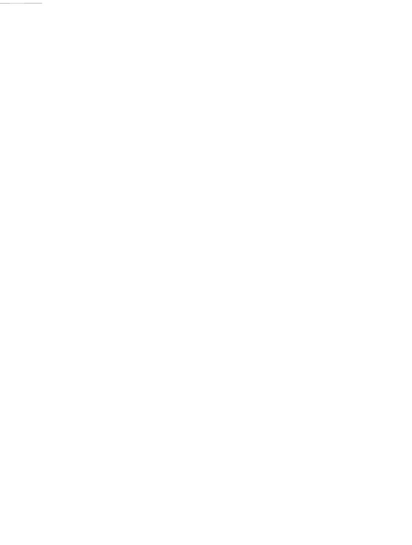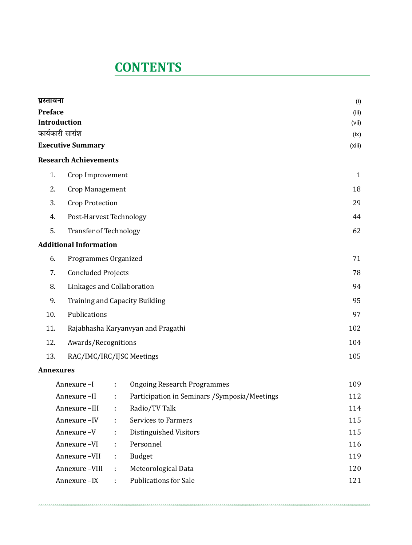# **CONTENTS**

| प्रस्तावना          |                                       |                                           |                                               | (i)    |  |
|---------------------|---------------------------------------|-------------------------------------------|-----------------------------------------------|--------|--|
| <b>Preface</b>      |                                       |                                           | (iii)                                         |        |  |
| <b>Introduction</b> |                                       |                                           | (vii)                                         |        |  |
|                     | कार्यकारी सारांश                      |                                           |                                               | (ix)   |  |
|                     | <b>Executive Summary</b>              |                                           |                                               | (xiii) |  |
|                     | <b>Research Achievements</b>          |                                           |                                               |        |  |
| 1.                  | Crop Improvement                      | $\mathbf{1}$                              |                                               |        |  |
| 2.                  |                                       | Crop Management                           |                                               |        |  |
| 3.                  | <b>Crop Protection</b>                | 29                                        |                                               |        |  |
| 4.                  | Post-Harvest Technology               | 44                                        |                                               |        |  |
| 5.                  | <b>Transfer of Technology</b>         |                                           |                                               |        |  |
|                     | <b>Additional Information</b>         |                                           |                                               |        |  |
| 6.                  | Programmes Organized                  |                                           |                                               | 71     |  |
| 7.                  | <b>Concluded Projects</b>             |                                           |                                               | 78     |  |
| 8.                  |                                       | Linkages and Collaboration<br>94          |                                               |        |  |
| 9.                  | <b>Training and Capacity Building</b> |                                           |                                               | 95     |  |
| 10.                 | Publications                          |                                           |                                               | 97     |  |
| 11.                 |                                       | Rajabhasha Karyanvyan and Pragathi<br>102 |                                               |        |  |
| 12.                 |                                       | Awards/Recognitions<br>104                |                                               |        |  |
| 13.                 |                                       | RAC/IMC/IRC/IJSC Meetings<br>105          |                                               |        |  |
|                     | <b>Annexures</b>                      |                                           |                                               |        |  |
|                     | Annexure-I                            | $\mathcal{L}_{\mathcal{A}}$               | <b>Ongoing Research Programmes</b>            | 109    |  |
|                     | Annexure-II                           |                                           | Participation in Seminars / Symposia/Meetings | 112    |  |
|                     | Annexure-III                          |                                           | Radio/TV Talk                                 | 114    |  |
|                     | Annexure-IV                           | ÷                                         | <b>Services to Farmers</b>                    | 115    |  |
|                     | Annexure-V                            | ÷                                         | Distinguished Visitors                        | 115    |  |
|                     | Annexure-VI                           | ÷                                         | Personnel                                     | 116    |  |
|                     | Annexure-VII                          | ÷                                         | <b>Budget</b>                                 | 119    |  |
|                     | Annexure-VIII                         | ÷                                         | Meteorological Data                           | 120    |  |
|                     | Annexure-IX                           | ÷                                         | <b>Publications for Sale</b>                  | 121    |  |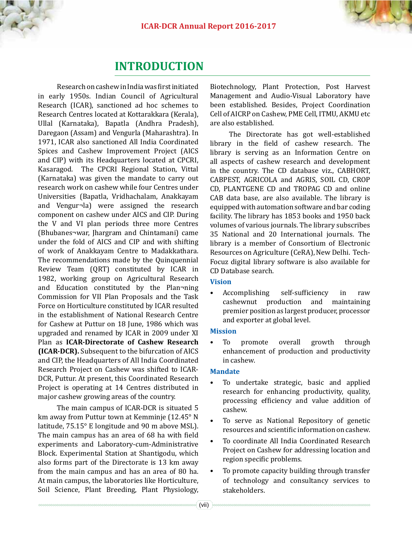

## **INTRODUCTION**

Research on cashew in India was first initiated in early 1950s. Indian Council of Agricultural Research (ICAR), sanctioned ad hoc schemes to Research Centres located at Kottarakkara (Kerala), Ullal (Karnataka), Bapatla (Andhra Pradesh), Daregaon (Assam) and Vengurla (Maharashtra). In 1971, ICAR also sanctioned All India Coordinated Spices and Cashew Improvement Project (AICS and CIP) with its Headquarters located at CPCRI, Kasaragod. The CPCRI Regional Station, Vittal (Karnataka) was given the mandate to carry out research work on cashew while four Centres under Universities (Bapatla, Vridhachalam, Anakkayam and Vengur¬la) were assigned the research component on cashew under AICS and CIP. During the V and VI plan periods three more Centres (Bhubanes¬war, Jhargram and Chintamani) came under the fold of AICS and CIP and with shifting of work of Anakkayam Centre to Madakkathara. The recommendations made by the Quinquennial Review Team (QRT) constituted by ICAR in 1982, working group on Agricultural Research and Education constituted by the Plan¬ning Commission for VII Plan Proposals and the Task Force on Horticulture constituted by ICAR resulted in the establishment of National Research Centre for Cashew at Puttur on 18 June, 1986 which was upgraded and renamed by ICAR in 2009 under XI Plan as **ICAR-Directorate of Cashew Research (ICAR-DCR).** Subsequent to the bifurcation of AICS and CIP, the Headquarters of All India Coordinated Research Project on Cashew was shifted to ICAR-DCR, Puttur. At present, this Coordinated Research Project is operating at 14 Centres distributed in major cashew growing areas of the country.

The main campus of ICAR-DCR is situated 5 km away from Puttur town at Kemminje (12.45° N latitude, 75.15° E longitude and 90 m above MSL). The main campus has an area of 68 ha with field experiments and Laboratory-cum-Administrative Block. Experimental Station at Shantigodu, which also forms part of the Directorate is 13 km away from the main campus and has an area of 80 ha. At main campus, the laboratories like Horticulture, Soil Science, Plant Breeding, Plant Physiology,

Biotechnology, Plant Protection, Post Harvest Management and Audio-Visual Laboratory have been established. Besides, Project Coordination Cell of AICRP on Cashew, PME Cell, ITMU, AKMU etc are also established.

The Directorate has got well-established library in the field of cashew research. The library is serving as an Information Centre on all aspects of cashew research and development in the country. The CD database viz., CABHORT, CABPEST, AGRICOLA and AGRIS, SOIL CD, CROP CD, PLANTGENE CD and TROPAG CD and online CAB data base, are also available. The library is equipped with automation software and bar coding facility. The library has 1853 books and 1950 back volumes of various journals. The library subscribes 35 National and 20 International journals. The library is a member of Consortium of Electronic Resources on Agriculture (CeRA), New Delhi. Tech-Focuz digital library software is also available for CD Database search.

#### **Vision**

• Accomplishing self-sufficiency in raw cashewnut production and premier position as largest producer, processor and exporter at global level.

#### **Mission**

• To promote overall growth through enhancement of production and productivity in cashew.

#### **Mandate**

- To undertake strategic, basic and applied research for enhancing productivity, quality, processing efficiency and value addition of cashew.
- To serve as National Repository of genetic resources and scientific information on cashew.
- To coordinate All India Coordinated Research Project on Cashew for addressing location and region specific problems.
- To promote capacity building through transfer of technology and consultancy services to stakeholders.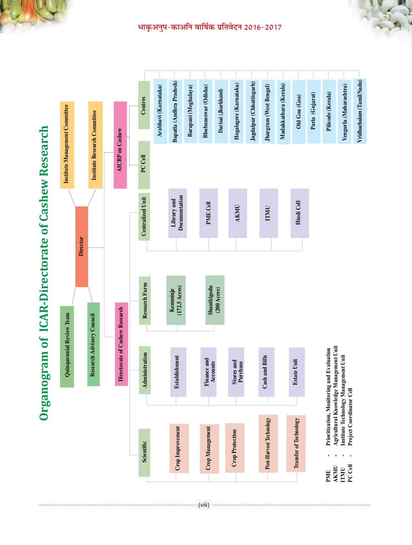

## .<br>भाकृअनुप-काअनि वार्षिक प्रतिवेदन 2016-2017

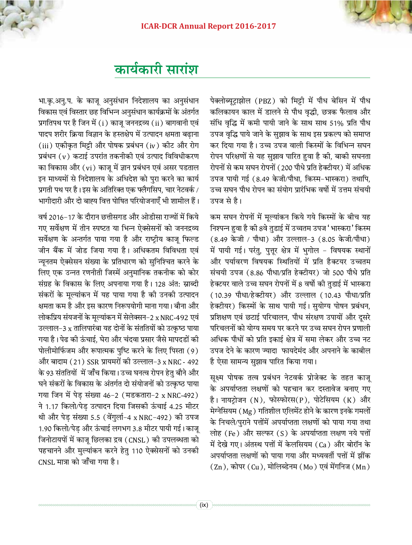

# कार्यकारी सारांश

भा.कृ.अनु.प. के काजू अनुसंधान निदेशालय का अनुसंधान विकास एवं विस्तार छह विभिन्न अनुसंधान कार्यक्रमों के अंतर्गत प्रगतिपथ पर है जिन में (i) काजू जननद्रव्य (ii) बागवानी एवं पादप शरीर क्रिया विज्ञान के हस्तक्षेप में उत्पादन क्षमता बढाना (iii) एकीकत मिट्टी और पोषक प्रबंधन (iv) कीट और रोग प्रबंधन (v) कटाई उपरांत तकनीकी एवं उत्पाद विविधीकरण का विकास और (vi) काज में ज्ञान प्रबंधन एवं असर पडताल इन माध्यमों से निदेशालय के अधिदेश को परा करने का कार्य प्रगती पथ पर है। इस के अतिरिक्त एक फ्लैगसिप, चार नेटवर्क / भागीदारी और दो बाह्य वित्त पोषित परियोजनाएँ भी शामील हैं।

वर्ष 2016-17 के दौरान छत्तीसगड और ओड़ीसा राज्यों में किये गए सर्वेक्षण में तीन स्पष्टत या भिन्न ऐक्सेसनों को जननद्रव्य सर्वेक्षण के अन्तर्गत पाया गया है और राष्ट्रीय काजु फिल्ड जीन बैंक में जोड जिया गया है। अधिकतम विविधता एवं न्यनतम ऐक्सेसन संख्या के प्रतिधारण को सुनिश्चित करने के लिए एक उन्नत रणनीती जिस्में अनुमानिक तकनीक को कोर संग्रह के विकास के लिए अपनाया गया है। 128 अंत: स्राब्दी संकरों के मुल्यांकन में यह पाया गया है की उनकी उत्पादन क्षमता कम है और इस कारण निरूपयोगी माना गया। बौना और लोकप्रिय संयजनों के मुल्यांकन में सेलेक्सन-2 x NRC-492 एवं उल्लाल-3 x तालिपारंबा यह दोनों के संततियों को उत्कष्ठ पाया गया है। पेढ की ऊंचाई, घेरा और चंदवा प्रसार जैसे मापदडों की पोलीमोर्फिजम और रूपात्मक पृष्टि करने के लिए पिस्ता (9) और बादाम (21) SSR प्रायमरों की उल्लाल-3 x NRC - 492 के 93 संततियों में जाँच किया। उच्च घनत्व रोपन हेतु बौने और घने संकरों के विकास के अंतर्गत दो संयोजनों को उत्कृष्ठ पाया गया जिन में पेड संख्या 46-2 (मडकतारा-2 x NRC-492) ने 1.17 किलो/पेड़ उत्पादन दिया जिसकी ऊंचाई 4.25 मीटर थी और पेड़ संख्या 5.5 (वेंगुर्ला-4 x NRC-492) की उपज 1.90 किलो/पेड़ और ऊंचाई लगभग 3.8 मीटर पायी गई। काजू जिनोटायपों में काजू छिलका द्रव (CNSL) की उपलब्धता को पहचानने और मुल्यांकन करने हेतु 110 ऐक्सेसनों को उनकी CNSL मात्रा को जाँचा गया है।

पेक्लोब्युटाझोल (PBZ) को मिट्टी में पौध बेसिन में पौध कलिकायन काल में डालने से पौध वृद्धी, छत्रक फैलाव और संधि वद्धि में कमी पायी जाने के साथ साथ 51% प्रति पौध उपज वृद्धि पाये जाने के सुझाव के साथ इस प्रकल्प को समाप्त कर दिया गया है। उच्च उपज वाली किस्मों के विभिन्न सघन रोपन परिक्षणों से यह सुझाव पारित हवा है की, बाकी सघनता रोपनों से कम सघन रोपनों (200 पौधे प्रति हेक्टीयर) में अधिक उपज पायी गई (8.49 केजी/पौधा, किस्म-भास्करा) तथापि. उच्च सघन पौध रोपन का संयोग प्रारंभिक वर्षो में उत्तम संचयी उपज से है।

कम सघन रोपनों में मूल्यांकन किये गये किस्मों के बीच यह निश्पन्न हुवा है की 8वे तुडाई में उच्चतम उपज 'भास्करा' किस्म (8.49 केजी / पौधा) और उल्लाल-3 (8.05 केजी/पौधा) में पायी गई। परंतु, पुत्तूर क्षेत्र में भुगोल - विषयक स्थानों और पर्यावरण विषयक स्थितियों में प्रति हैक्टयर उच्चतम संचयी उपज (8.86 पौधा/प्रति हेक्टीयर) जो 500 पौधे प्रति हेक्टयर वाले उच्च सघन रोपनों में 8 वर्षो की तुडाई में भास्करा (10.39 पौधा/हेक्टीयर) और उल्लाल (10.43 पौधा/प्रति हेक्टीयर) किस्मों के साथ पायी गई। सुयोग्य पोषन प्रबंधन, प्रशिक्षण एवं छटाई परिचालन, पौध संरक्षण उपायों और दूसरे परिचलनों को योग्य समय पर करने पर उच्च सघन रोपन प्रणाली अधिक पौधों को प्रति इकाई क्षेत्र में समा लेकर और उच्च नट उपज देने के कारण ज्यादा फायदेमंद और अपनाने के काबील है ऐसा सामन्य सुझाव पारित किया गया।

सूक्ष्म पोषक तत्व प्रबंधन नेटवर्क प्रोजेक्ट के तहत काजू के अपर्याप्तता लक्षणों को पहचान कर दस्तावेज बनाए गए है। नायट्रोजन (N), फोस्फोरस(P), पोटेसियम (K) और मेग्नेसियम (Mg) गतिशील एलिमेंट होने के कारण इनके गमलों के निचले/पुराने पत्तोंमें अपर्याप्तता लक्षणों को पाया गया तथा लोह (Fe) और सल्फर (S) के अपर्याप्तता लक्षण नये पत्तों में देखे गए। अंतस्थ पत्तों में केलसियम (Ca) और बोरॉन के अपर्याप्तता लक्षणों को पाया गया और मध्यवर्ती पत्तों में झींक  $(Zn)$ , कोपर  $(Cu)$ , मोलिब्डेनम  $(Mo)$  एवं मेंगनिज  $(Mn)$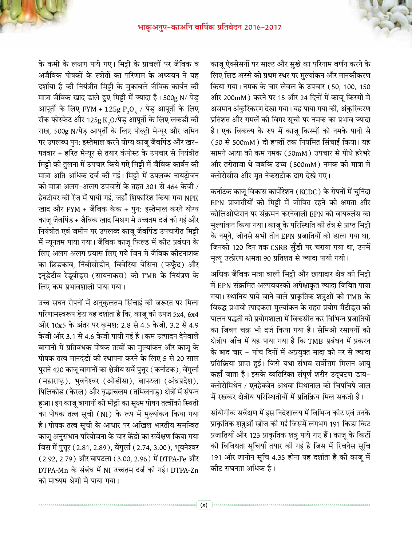काजू ऐक्सेसनों पर साल्ट और सुखे का परिनाम वर्णन करने के लिए सिड अस्से को प्रथम स्थर पर मुल्यांकन और मानकीकरण किया गया। नमक के चार लेवल के उपचार (50, 100, 150 और 200mM) करने पर 15 और 24 दिनों में काजू किस्मों में असमान अंकुरिकरण देखा गया। यह पाया गया की, अंकुरिकरण प्रतिशत और गमलें की विगर सूची पर नमक का प्रभाव ज्यादा है। एक विकल्प के रुप में काज किस्मों को नमके पानी से (50 से 500mM) दो हफ्तों तक नियमित सिंचाई किया। यह सामने आया की कम नमक (50mM) उपचार से पौधे हरेभरे और तरोताजा थे जबकि उच्च (500mM) नमक की मात्रा में क्लोरोसीस और मृत नेकराटीक दाग देखे गए।

कर्नाटक काजू विकास कार्पोरेशन (KCDC) के रोपनों में चुनिंदा EPN प्राजातीयों को मिट्टी में जीवित रहने की क्षमता और कोलिओप्टेरान पर संक्रमन करनेवाली EPN की वायरुलंस का मुल्यांकन किया गया। काजू के परिस्थिति की तंत्र से प्राप्त मिट्टी के नमूने, जीनसे सभी तीन EPN प्रजातियों को डाला गया था, जिनको 120 दिन तक CSRB सुँडी पर चराया गया था, उनमें मृत्यू उत्प्रेरण क्षमता 90 प्रतिशत से ज्यादा पायी गयी।

अधिक जैविक मात्रा वाली मिट्टी और छायादार क्षेत्र की मिट्टी में EPN संक्रमित अल्पवयस्कों अपेक्षाकृत ज्यादा जिवित पाया गया। स्थानिय पाये जाने वाले प्राकृतिक शत्रुओं की TMB के विरुद्ध प्रभावो त्पादकता मुल्यांकन के तहत प्रयोग मैंटीड्स की पालन पद्धती को प्रयोगशाला में विकसीत कर विभिन्न प्रजातियों का जिवन चक्र भी दर्ज किया गया है। सेमिओ रसायनों की क्षेत्रीय जाँच में यह पाया गया है कि TMB प्रबंधन में प्रकरन के बाद चार - पांच दिनों में अप्रयुक्त मादा को नर से ज्यादा प्रतिक्रिया प्राप्त हुई। जिसे यथा संभव सर्वोत्तम मिलन आयु कहाँ जाता है। इसके व्यतिरिक्त संपूर्ण शरीर उद्घटण डाय-क्लोरोमिथेन / एनहेक्जेन अथवा मिथानाल को चिपचिपे जाल में रखकर क्षेत्रीय परिस्थितीयों में प्रतिक्रिय मिल सकती है।

सांयोगीक सर्वेक्षण में इस निदेशालय में विभिन्न कीट एवं उनके प्राकृतिक शत्रुओं खोज की गई जिसमें लगभग 191 किडा किट प्रजातियाँ और 123 प्राकृतिक शत्रु पाये गए हैं। काजू के किटों की विविधता सूचियाँ तयार की गई है जिस में रिचनेस सूचि 191 और शानोन सचि 4.35 होना यह दर्शाता है की काजू में कीट संघनता अधिक है।

के कमी के लक्षण पाये गए। मिट्टी के प्राचलों पर जैविक व अजैविक पोषकों के स्त्रोतों का परिणाम के अध्ययन ने यह दर्शाया है की नियंत्रीत मिट्टी के मुकाबले जैविक कार्बन की मात्रा जैविक खाद डाले हुए मिट्टी में ज्यादा है। 500g N/ पेड़ आपूर्ती के लिए FYM + 125g P<sub>2</sub>O<sub>5</sub> / पेड़ आपूर्ती के लिए रॉक फोस्फेट और 125g K,0/पेड़ आपूर्ती के लिए लकडी की राख, 500g N/पेड आपूर्ती के लिए पोल्टी मेन्यर और जमिन पर उपलब्ध पुन: इस्तेमाल करने योग्य काजू जैवपिंड और खर-पतवार + हरित मेन्युर से तयार कंपोस्ट के उपचार से नियंत्रीत मिट्टी की तुलना में उपचार किये गऐ मिट्टी में जैविक कार्बन की मात्रा अति अधिक दर्ज की गई। मिट्टी में उपलब्ध नायट़ोजन की मात्रा अलग-अलग उपचारों के तहत 301 से 464 केजी / हेक्टीयर की रेंज में पायी गई. जहाँ शिफारिश किया गया NPK खाद और FYM + जैविक केक + पुन: इस्तेमाल करने योग्य काजु जैवपिंड + जैविक खाद मिश्रण मे उच्चतम दर्ज की गई और नियंत्रीत एवं जमीन पर उपलब्द काजू जैवपिंड उपचारीत मिट्टी में न्यूनतम पाया गया। जैविक काजू फिल्ड में कीट प्रबंधन के लिए अलग अलग प्रयास लिए गये जिन में जैविक कीटनाशक का छिडकाव, निंबीसीडीन, बिवेरिया बेसिना (फफ़ँद) और इनूडेटीव रेडूवीड्स (सायनाकस) को TMB के नियंत्रण के लिए कम प्रभावशाली पाया गया।

उच्च सघन रोपनों में अनुकुलतम सिंचाई की जरूरत पर मिला परिणामस्वरूप डेटा यह दर्शाता है कि, काजू की उपज 5x4, 6x4 और 10x5 के अंतर पर कुमश: 2.8 से 4.5 केजी, 3.2 से 4.9 केजी और 3.1 से 4.6 केजी पायी गई है। कम उत्पादन देनेवाले बागानों में प्रतिबंधक पोषक तत्वों का मुल्यांकन और काजू के पोषक तत्व मानदंडों की स्थापना करने के लिए 5 से 20 साल पुराने 420 काजू बागानों का क्षेत्रीय सर्वे पुत्तूर (कर्नाटक), वेंगुर्ला (महाराष्ट्), भुवनेश्वर (ओडीसा), बापटला (अंध्रप्रदेश), पिलिकोड (केरल) और वृद्धाचलम (तमिलनाडु) क्षेत्रों में संपन्न हुआ। इन काजू बागानों की मीट्टी का सूक्ष्म पोषन तत्वोंकी स्थिती का पोषक तत्व सूची (NI) के रूप में मुल्यांकन किया गया है। पोषक तत्व सूची के आधार पर अखिल भारतीय समन्वित काजू अनुसंधान परियोजना के चार केंद्रों का सर्वेक्षण किया गया जिस में पुत्तूर (2.81, 2.89), वेंगुर्ला (2.74, 3.00), भूवनेश्वर (2.92, 2.79) और बापटला (3.00, 2.96) में DTPA-Fe और DTPA-Mn के संबंध में NI उच्चतम दर्ज की गई। DTPA-Zn को माध्यम श्रेणी मे पाया गया।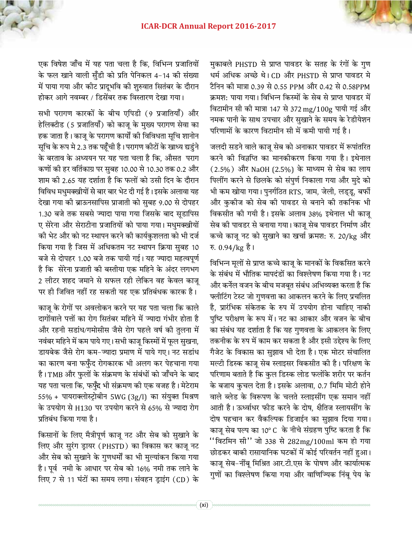एक विषेश जाँच में यह पता चला है कि, विभिन्न प्रजातियों के फल खाने वाली सुँडी को प्रति पेनिकल 4-14 की संख्या में पाया गया और कीट प्राद्भवि की शुरुवात सितंबर के दौरान होकर आगे नवम्बर / डिसेंबर तक विस्तारण देखा गया।

सभी परागण कारकों के बीच एपिडी (9 प्रजातियाँ) और हेलिक्टीड (5 प्रजातियाँ) को काजू के मुख्य परागण सेवा का हक जाता है। काजू के परागण कार्यों की विविधता सूचि शानोन सूचि के रूप मे 2.3 तक पहूँची है। परागण कीटों के खाध्य द्यडुंने के बरताव के अध्ययन पर यह पता चला है कि, औसत पराग कणों की हर वर्तिकाग्र पर सुबह 10.00 से 10.30 तक 0.2 और शाम की 2.65 यह दर्शाता है कि फलों को उसी दिन के दौरान विविध मधुमक्खीयों से बार बार भेट दी गई है। इसके अलावा यह देखा गया की ब्राऊनसापिस प्राजाती को सुबह 9.00 से दोपहर 1.30 बजे तक सबसे ज्यादा पाया गया जिसके बाद सूडापिस ए सेरेना और सेराटीना प्रजातियों को पाया गया। मधुमक्खीयों की भेट और को नट स्थापन करने की कार्यकुशलता को भी दर्ज किया गया है जिस में अधिकतम नट स्थापन क्रिया सुबह 10 बजे से दोपहर 1.00 बजे तक पायी गई। यह ज्यादा महत्वपूर्ण है कि सेरेना प्रजाती की बस्तीया एक महिने के अंदर लगभग 2 लीटर शहद जमाने से सफल रही लेकिन वह केवल काजू पर ही जिवित नहीं रह सकती यह एक प्रतिबंधक कारक है।

काजू के रोगों पर अवलोकन करने पर यह पता चला कि काले दागोंवाले पत्तों का रोग सितंबर महिने में ज्यादा गंभीर होता है और रहनी सडांध/गमोसीस जैसे रोग पहले वर्ष की तुलना में नवंबर महिने में कम पाये गए। सभी काजू किस्मों में फूल सुखना, डायबेक जैसे रोग कम-ज्यादा प्रमाण में पाये गए। नट सडांध का कारण बना फफ़ँद रोगकारक भी अलग कर पेहचाना गया है। TMB और फुलों के संक्रमण के संबंधों को जाँचने के बाद यह पता चला कि, फफ़्ँद भी संक्रमण की एक वजह है। मेटेराम 55% + पायराक्लोस्ट्रोबीन 5WG (3g/l) का संयुक्त मिश्रण के उपयोग से H130 पर उपयोग करने से 65% से ज्यादा रोग प्रतिबंध किया गया है।

किसानों के लिए मैत्रीपूर्ण काजू नट और सेब को सुखाने के लिए और सुरंग ड्रायर (PHSTD) का विकास कर काजू नट और सेब को सुखाने के गुणधर्मों का भी मुल्यांकन किया गया है। पूर्व नमी के आधार पर सेब को 16% नमी तक लाने के लिए 7 से 11 घंटों का समय लगा। संवहन ड़ाइंग (CD) के

मकाबले PHSTD से प्राप्त पावडर के सतह के रंगों के गुण धर्म अधिक अच्छे थे। CD और PHSTD से प्राप्त पावडर मे टैनिन की मात्रा 0.39 से 0.55 PPM और 0.42 से 0.58PPM क्रमश: पाया गया। विभिन्न किस्मों के सेब से प्राप्त पावडर में विटामीन सी की मात्रा 147 से 372 mg/100g पायी गई और नमक पानी के साथ उपचार और सुखाने के समय के रेडीयेशन परिणामों के कारण विटामीन सी में कमी पायी गई है।

जलदी सडने वाले काजू सेब को अनाकार पावडर में रूपांतरित करने की विज्ञप्ति का मानकीकरण किया गया है। इथेनाल (2.5%) और NaOH (2.5%) के माध्यम से सेब का लाय पिलींग करने से छिलके को संपुर्ण निकाला गया और मुदे को भी कम खोया गया। पुनर्गठित RTS, जाम, जेली, लड्डू, बर्फी और कुकीज को सेब की पावडर से बनाने की तकनिक भी विकसीत की गयी है। इसके अलाव 38% इथेनाल भी काजू सेब की पावडर से बनाया गया। काजू सेब पावडर निर्माण और कच्चे काजू नट को सुखाने का खर्चा क्रमश: रु. 20/kg और रु. 0.94/kg है।

विभिन्न मूलों से प्राप्त कच्चे काजू के मानकों के विकसित करने के संबंध में भौतिक मापदंडों का विश्लेषण किया गया है। नट और कर्नेल वजन के बीच मजबूत संबंध अभिव्यक्त करता है कि फ्लीटिंग टेस्ट जो गणवत्ता का आकलन करने के लिए प्रचलित है, प्रारंभिक संकेतक के रुप में उपयोग होना चाहिए नाकी पुष्टि परीक्षण के रूप में। नट का आकार और वजन के बीच का संबंध यह दर्शाता है कि यह गुणवत्ता के आकलन के लिए तकनीक के रुप में काम कर सकता है और इसी उद्देश्य के लिए गैजेट के विकास का सुझाव भी देता है। एक मोटर संचालित मल्टी डिस्क काजू सेब स्लाइसर विकसीत की है। परिक्षण के परिणाम बताते है कि कुल डिस्क लोड फलोंके शरीर पर कर्तन के बजाय कुचल देता है। इसके अलावा, 0.7 मिमि मोटी होने वाले ब्लेड के विरूपण के चलते स्लाइसींग एक समान नहीं आती है। ऊर्ध्वाधर फीड करने के दोष, क्षैतिज स्लायसींग के दोष पहचान कर वैकल्पिक डिजाईन का सुझाव दिया गया। काजू सेब पल्प का 10° C के नीचे संग्रहण पुष्टि करता है कि "विटमिन सी" जो 338 से 282mg/100ml कम हो गया छोडकर बाकी रासायानिक घटकों में कोई परिवर्तन नहीं हुआ। काजू सेब-नींबू मिश्रित आर.टी.एस के पोषण और कार्यात्मक गुणों का विश्लेषण किया गया और वाणिज्यिक निंबू पेय के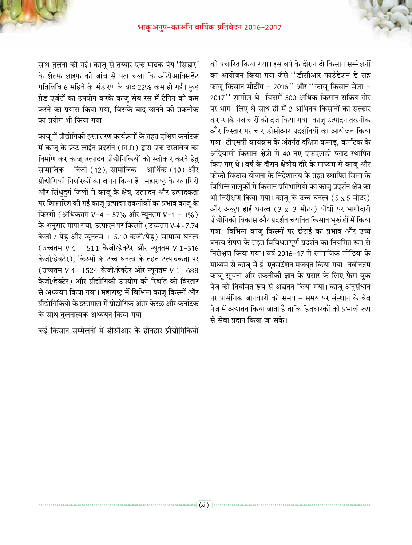साथ तुलना की गई। काजू से तय्यार एक मादक पेय 'सिडार' के शेल्फ लाइफ की जांच से पता चला कि आँटीआक्सिडेंट गतिविधि 6 महिने के भंडारण के बाद 22% कम हो गई। फुड ग्रेड एजंटों का उपयोग करके काजू सेब रस में टैनिन को कम करने का प्रयास किया गया. जिसके बाद छानने की तकनीक का पयोग भी किया गया।

काजू में प्रौद्योगिकी हस्तांतरण कार्यक्रमों के तहत दक्षिण कर्नाटक में काजू के फ्रंट लाईन प्रदर्शन (FLD) द्वारा एक दस्तावेज का निर्माण कर काजू उत्पादन प्रौद्योगिकियों को स्वीकार करने हेतु सामाजिक - निजी (12), सामाजिक - आर्थिक (10) और प्रौद्योगिकी निर्धारकों का वर्णन किया है। महाराष्ट के रत्नागिरी और सिंधुदुर्ग जिलों में काजू के क्षेत्र, उत्पादन और उत्पादकता पर शिफारिश की गई काजू उत्पादन तकनीकों का प्रभाव काजू के किस्मों (अधिकतम V-4 - 57% और न्यूनतम V-1 - 1%) के अनुसार मापा गया, उत्पादन पर किस्मों (उच्चतम V-4 - 7.74 केजी / पेड़ और न्यूनतम 1-5.10 केजी/पेड़) सामान्य घनत्व (उच्चतम V-4 - 511 केजी/हेक्टेर और न्युनतम V-1-316 केजी/हेक्टेर), किस्मों के उच्च घनत्व के तहत उत्पादकता पर (उच्चतम V-4 - 1524 केजी/हेक्टेर और न्यूनतम V-1 - 688 केजी/हेक्टेर) और प्रौद्योगिकी उपयोग की स्थिति को विस्तार से अध्ययन किया गया। महाराष्ट्र में विभिन्न काजु किस्मों और प्रौद्योगिकियों के इस्तमाल में प्रोद्योगिक अंतर केरळ और कर्नाटक के साथ तुलनात्मक अध्ययन किया गया।

कई किसान सम्मेलनों में डीसीआर के होनहार प्रौद्योगिकियों

को प्रचारित किया गया। इस वर्ष के दौरान दो किसान सम्मेलनों का आयोजन किया गया जैसे "डीसीआर फाउंडेशन डे सह काजु किसान मीटींग - 2016'' और ''काजु किसान मेला -2017'' शामील थे। जिसमें 500 अधिक किसान सक्रिय तोर पर भाग लिए थे साथ ही में 3 अभिनव किसानों का सत्कार कर उनके नवाचारों को दर्ज किया गया। काजू उत्पादन तकनीक और विस्तार पर चार डीसीआर प्रदर्शनियों का आयोजन किया गया। टीएसपी कार्यक्रम के अंतर्गत दक्षिण कन्नड, कर्नाटक के अदिवासी किसान क्षेत्रों मे 40 नए एफएलडी प्लाट स्थापित किए गए थे। वर्ष के दौरान क्षेत्रीय दौरे के माध्यम से काजु और कोको विकास योजना के निदेशालय के तहत स्थापित जिला के विभिन्न तालुकों में किसान प्रतिभागियों का काजु प्रदर्शन क्षेत्र का भी निरीक्षण किया गया। काजू के उच्च घनत्व (5 x 5 मीटर) और अल्ट्रा हाई घनत्व (3 x 3 मीटर) पौधों पर भागीदारी <u>प्रौद्योगिकी विकास और प्रदर्शन चयनित किसान भुखंडों में किया</u> गया। विभिन्न काजू किस्मों पर छंटाई का प्रभाव और उच्च घनत्व रोपण के तहत विविधतापूर्ण प्रदर्शन का नियमित रूप से निरीक्षण किया गया। वर्ष 2016-17 में सामाजिक मीडिया के माध्यम से काजु में ई-एक्सटेंशन मजबूत किया गया। नवीनतम काजू सूचना और तकनीकी ज्ञान के प्रसार के लिए फेस बुक पेज को नियमित रूप से अद्यतन किया गया। काजू अनुसंधान पर प्रासंगिक जानकारी को समय - समय पर संस्थान के वेब पेज में अद्यातन किया जाता है ताकि हितधारकों को प्रभावी रूप से सेवा प्रदान किया जा सके।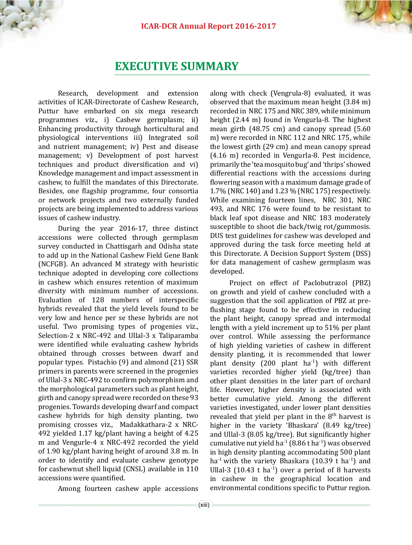



## **EXECUTIVE SUMMARY**

Research, development and extension activities of ICAR-Directorate of Cashew Research, Puttur have embarked on six mega research programmes viz., i) Cashew germplasm; ii) Enhancing productivity through horticultural and physiological interventions iii) Integrated soil and nutrient management; iv) Pest and disease management; v) Development of post harvest techniques and product diversification and vi) Knowledge management and impact assessment in cashew, to fulfill the mandates of this Directorate. Besides, one flagship programme, four consortia or network projects and two externally funded projects are being implemented to address various issues of cashew industry.

During the year 2016-17, three distinct accessions were collected through germplasm survey conducted in Chattisgarh and Odisha state to add up in the National Cashew Field Gene Bank (NCFGB). An advanced M strategy with heuristic technique adopted in developing core collections in cashew which ensures retention of maximum diversity with minimum number of accessions. Evaluation of 128 numbers of interspecific hybrids revealed that the yield levels found to be very low and hence per se these hybrids are not useful. Two promising types of progenies viz., Selection-2 x NRC-492 and Ullal-3 x Taliparamba were identified while evaluating cashew hybrids obtained through crosses between dwarf and popular types. Pistachio (9) and almond (21) SSR primers in parents were screened in the progenies of Ullal-3 x NRC-492 to confirm polymorphism and the morphological parameters such as plant height, girth and canopy spread were recorded on these 93 progenies. Towards developing dwarf and compact cashew hybrids for high density planting, two promising crosses viz., Madakkathara-2 x NRC-492 yielded 1.17 kg/plant having a height of 4.25 m and Vengurle-4 x NRC-492 recorded the yield of 1.90 kg/plant having height of around 3.8 m. In order to identify and evaluate cashew genotype for cashewnut shell liquid (CNSL) available in 110 accessions were quantified.

Among fourteen cashew apple accessions

along with check (Vengrula-8) evaluated, it was observed that the maximum mean height (3.84 m) recorded in NRC 175 and NRC 389, while minimum height (2.44 m) found in Vengurla-8. The highest mean girth (48.75 cm) and canopy spread (5.60 m) were recorded in NRC 112 and NRC 175, while the lowest girth (29 cm) and mean canopy spread (4.16 m) recorded in Vengurla-8. Pest incidence, primarily the 'tea mosquito bug' and 'thrips' showed differential reactions with the accessions during flowering season with a maximum damage grade of 1.7% (NRC 140) and 1.23 % (NRC 175) respectively. While examining fourteen lines, NRC 301, NRC 493, and NRC 176 were found to be resistant to black leaf spot disease and NRC 183 moderately susceptible to shoot die back/twig rot/gummosis. DUS test guidelines for cashew was developed and approved during the task force meeting held at this Directorate. A Decision Support System (DSS) for data management of cashew germplasm was developed.

Project on effect of Paclobutrazol (PBZ) on growth and yield of cashew concluded with a suggestion that the soil application of PBZ at preflushing stage found to be effective in reducing the plant height, canopy spread and intermodal length with a yield increment up to 51% per plant over control. While assessing the performance of high yielding varieties of cashew in different density planting, it is recommended that lower plant density  $(200 \text{ plant } ha^{-1})$  with different varieties recorded higher yield (kg/tree) than other plant densities in the later part of orchard life. However, higher density is associated with better cumulative yield. Among the different varieties investigated, under lower plant densities revealed that yield per plant in the  $8<sup>th</sup>$  harvest is higher in the variety 'Bhaskara' (8.49 kg/tree) and Ullal-3 (8.05 kg/tree). But significantly higher cumulative nut yield ha<sup>-1</sup> (8.86 t ha<sup>-1</sup>) was observed in high density planting accommodating 500 plant ha<sup>-1</sup> with the variety Bhaskara (10.39 t ha<sup>-1</sup>) and Ullal-3 (10.43 t ha<sup>-1</sup>) over a period of 8 harvests in cashew in the geographical location and environmental conditions specific to Puttur region.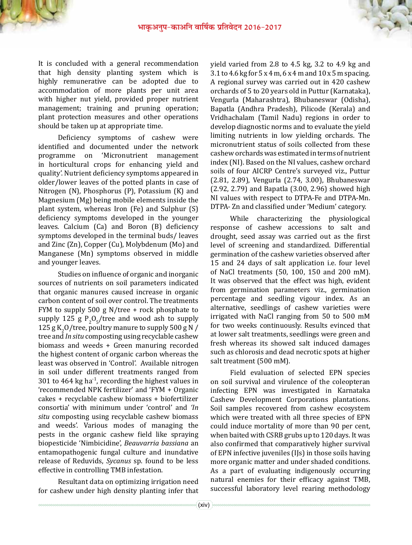It is concluded with a general recommendation that high density planting system which is highly remunerative can be adopted due to accommodation of more plants per unit area with higher nut yield, provided proper nutrient management; training and pruning operation; plant protection measures and other operations should be taken up at appropriate time.

Deficiency symptoms of cashew were identified and documented under the network<br>programme on 'Micronutrient management 'Micronutrient management in horticultural crops for enhancing yield and quality'. Nutrient deficiency symptoms appeared in older/lower leaves of the potted plants in case of Nitrogen (N), Phosphorus (P), Potassium (K) and Magnesium (Mg) being mobile elements inside the plant system, whereas Iron (Fe) and Sulphur (S) deficiency symptoms developed in the younger leaves. Calcium (Ca) and Boron (B) deficiency symptoms developed in the terminal buds/ leaves and Zinc (Zn), Copper (Cu), Molybdenum (Mo) and Manganese (Mn) symptoms observed in middle and younger leaves.

Studies on influence of organic and inorganic sources of nutrients on soil parameters indicated that organic manures caused increase in organic carbon content of soil over control. The treatments FYM to supply 500 g N/tree + rock phosphate to supply 125 g  $P_2O_5$ /tree and wood ash to supply 125 g K<sub>2</sub>O/tree, poultry manure to supply 500 g N / tree and *In situ* composting using recyclable cashew biomass and weeds + Green manuring recorded the highest content of organic carbon whereas the least was observed in 'Control'. Available nitrogen in soil under different treatments ranged from 301 to 464 kg ha $^{-1}$ , recording the highest values in 'recommended NPK fertilizer' and 'FYM + Organic cakes + recyclable cashew biomass + biofertilizer consortia' with minimum under 'control' and *'In situ* composting using recyclable cashew biomass and weeds'. Various modes of managing the pests in the organic cashew field like spraying biopesticide 'Nimbicidine', *Beauvarria bassiana* an entamopathogenic fungal culture and inundative release of Reduvids, *Sycanus* sp. found to be less effective in controlling TMB infestation.

Resultant data on optimizing irrigation need for cashew under high density planting infer that yield varied from 2.8 to 4.5 kg, 3.2 to 4.9 kg and 3.1 to 4.6 kg for 5 x 4 m, 6 x 4 m and 10 x 5 m spacing. A regional survey was carried out in 420 cashew orchards of 5 to 20 years old in Puttur (Karnataka), Vengurla (Maharashtra), Bhubaneswar (Odisha), Bapatla (Andhra Pradesh), Pilicode (Kerala) and Vridhachalam (Tamil Nadu) regions in order to develop diagnostic norms and to evaluate the yield limiting nutrients in low yielding orchards. The micronutrient status of soils collected from these cashew orchards was estimated in terms of nutrient index (NI). Based on the NI values, cashew orchard soils of four AICRP Centre's surveyed viz., Puttur (2.81, 2.89), Vengurla (2.74, 3.00), Bhubaneswar (2.92, 2.79) and Bapatla (3.00, 2.96) showed high NI values with respect to DTPA-Fe and DTPA-Mn. DTPA- Zn and classified under 'Medium' category.

While characterizing the physiological response of cashew accessions to salt and drought, seed assay was carried out as the first level of screening and standardized. Differential germination of the cashew varieties observed after 15 and 24 days of salt application i.e. four level of NaCl treatments (50, 100, 150 and 200 mM). It was observed that the effect was high, evident from germination parameters viz., germination percentage and seedling vigour index. As an alternative, seedlings of cashew varieties were irrigated with NaCl ranging from 50 to 500 mM for two weeks continuously. Results evinced that at lower salt treatments, seedlings were green and fresh whereas its showed salt induced damages such as chlorosis and dead necrotic spots at higher salt treatment (500 mM).

Field evaluation of selected EPN species on soil survival and virulence of the coleopteran infecting EPN was investigated in Karnataka Cashew Development Corporations plantations. Soil samples recovered from cashew ecosystem which were treated with all three species of EPN could induce mortality of more than 90 per cent, when baited with CSRB grubs up to 120 days. It was also confirmed that comparatively higher survival of EPN infective juveniles (IJs) in those soils having more organic matter and under shaded conditions. As a part of evaluating indigenously occurring natural enemies for their efficacy against TMB, successful laboratory level rearing methodology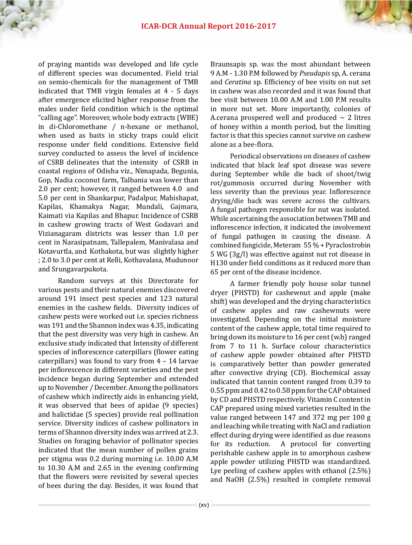of praying mantids was developed and life cycle of different species was documented. Field trial on semio-chemicals for the management of TMB indicated that TMB virgin females at 4 - 5 days after emergence elicited higher response from the males under field condition which is the optimal "calling age". Moreover, whole body extracts (WBE) in di-Chloromethane / n-hexane or methanol, when used as baits in sticky traps could elicit response under field conditions. Extensive field survey conducted to assess the level of incidence of CSRB delineates that the intensity of CSRB in coastal regions of Odisha viz., Nimapada, Begunia, Gop, Nadia coconut farm, Talbania was lower than 2.0 per cent; however, it ranged between 4.0 and 5.0 per cent in Shankarpur, Padalpur, Mahishapat, Kapilas, Khamakya Nagar, Mundali, Gajmara, Kaimati via Kapilas and Bhapur. Incidence of CSRB in cashew growing tracts of West Godavari and Vizianagaram districts was lesser than 1.0 per cent in Narasipatnam, Tallepalem, Manivalasa and Kotavurtla, and Kothakota, but was slightly higher ; 2.0 to 3.0 per cent at Relli, Kothavalasa, Mudunoor and Srungavarpukota.

Random surveys at this Directorate for various pests and their natural enemies discovered around 191 insect pest species and 123 natural enemies in the cashew fields. Diversity indices of cashew pests were worked out i.e. species richness was 191 and the Shannon index was 4.35, indicating that the pest diversity was very high in cashew. An exclusive study indicated that Intensity of different species of inflorescence caterpillars (flower eating caterpillars) was found to vary from 4 – 14 larvae per inflorescence in different varieties and the pest incidence began during September and extended up to November / December. Among the pollinators of cashew which indirectly aids in enhancing yield, it was observed that bees of apidae (9 species) and halictidae (5 species) provide real pollination service. Diversity indices of cashew pollinators in terms of Shannon diversity index was arrived at 2.3. Studies on foraging behavior of pollinator species indicated that the mean number of pollen grains per stigma was 0.2 during morning i.e. 10.00 A.M to 10.30 A.M and 2.65 in the evening confirming that the flowers were revisited by several species of bees during the day. Besides, it was found that

Braunsapis sp. was the most abundant between 9 A.M - 1.30 P.M followed by *Pseudapis* sp, A. cerana and *Ceratina* sp. Efficiency of bee visits on nut set in cashew was also recorded and it was found that bee visit between 10.00 A.M and 1.00 P.M results in more nut set. More importantly, colonies of A.cerana prospered well and produced  $\sim$  2 litres of honey within a month period, but the limiting factor is that this species cannot survive on cashew alone as a bee-flora.

Periodical observations on diseases of cashew indicated that black leaf spot disease was severe during September while die back of shoot/twig rot/gummosis occurred during November with less severity than the previous year. Inflorescence drying/die back was severe across the cultivars. A fungal pathogen responsible for nut was isolated. While ascertaining the association between TMB and inflorescence infection, it indicated the involvement of fungal pathogen in causing the disease. A combined fungicide, Meteram 55 % + Pyraclostrobin 5 WG (3g/l) was effective against nut rot disease in H130 under field conditions as it reduced more than 65 per cent of the disease incidence.

A farmer friendly poly house solar tunnel dryer (PHSTD) for cashewnut and apple (make shift) was developed and the drying characteristics of cashew apples and raw cashewnuts were investigated. Depending on the initial moisture content of the cashew apple, total time required to bring down its moisture to 16 per cent (w.b) ranged from 7 to 11 h. Surface colour characteristics of cashew apple powder obtained after PHSTD is comparatively better than powder generated after convective drying (CD). Biochemical assay indicated that tannin content ranged from 0.39 to 0.55 ppm and 0.42 to 0.58 ppm for the CAP obtained by CD and PHSTD respectively. Vitamin C content in CAP prepared using mixed varieties resulted in the value ranged between 147 and 372 mg per 100 g and leaching while treating with NaCl and radiation effect during drying were identified as due reasons<br>for its reduction. A protocol for converting A protocol for converting. perishable cashew apple in to amorphous cashew apple powder utilizing PHSTD was standardized. Lye peeling of cashew apples with ethanol (2.5%) and NaOH (2.5%) resulted in complete removal